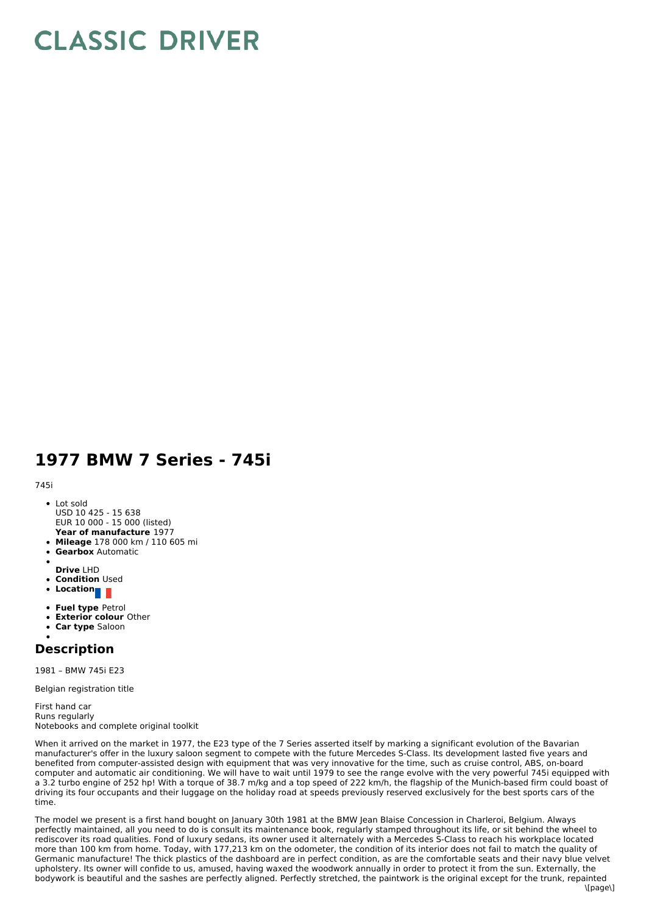## **CLASSIC DRIVER**

## **1977 BMW 7 Series - 745i**

745i

- Lot sold USD 10 425 - 15 638 EUR 10 000 - 15 000 (listed)
- **Year of manufacture** 1977
- **Mileage** 178 000 km /110 605 mi
- **Gearbox** Automatic
- **Drive** LHD
- **Condition Used**
- **Location**
- 
- **Fuel type** Petrol
- **Exterior colour** Other
- **Car type** Saloon  $\bullet$

## **Description**

1981 – BMW 745i E23

Belgian registration title

First hand car Runs regularly Notebooks and complete original toolkit

When it arrived on the market in 1977, the E23 type of the 7 Series asserted itself by marking a significant evolution of the Bavarian manufacturer's offer in the luxury saloon segment to compete with the future Mercedes S-Class. Its development lasted five years and benefited from computer-assisted design with equipment that was very innovative for the time, such as cruise control, ABS, on-board computer and automatic air conditioning. We will have to wait until 1979 to see the range evolve with the very powerful 745i equipped with a 3.2 turbo engine of 252 hp! With a torque of 38.7 m/kg and a top speed of 222 km/h, the flagship of the Munich-based firm could boast of driving its four occupants and their luggage on the holiday road at speeds previously reserved exclusively for the best sports cars of the time.

The model we present is a first hand bought on January 30th 1981 at the BMW Jean Blaise Concession in Charleroi, Belgium. Always perfectly maintained, all you need to do is consult its maintenance book, regularly stamped throughout its life, or sit behind the wheel to rediscover its road qualities. Fond of luxury sedans, its owner used it alternately with a Mercedes S-Class to reach his workplace located more than 100 km from home. Today, with 177,213 km on the odometer, the condition of its interior does not fail to match the quality of Germanic manufacture! The thick plastics of the dashboard are in perfect condition, as are the comfortable seats and their navy blue velvet upholstery. Its owner will confide to us, amused, having waxed the woodwork annually in order to protect it from the sun. Externally, the bodywork is beautiful and the sashes are perfectly aligned. Perfectly stretched, the paintwork is the original except for the trunk, repainted  $\[\text{name}\]$